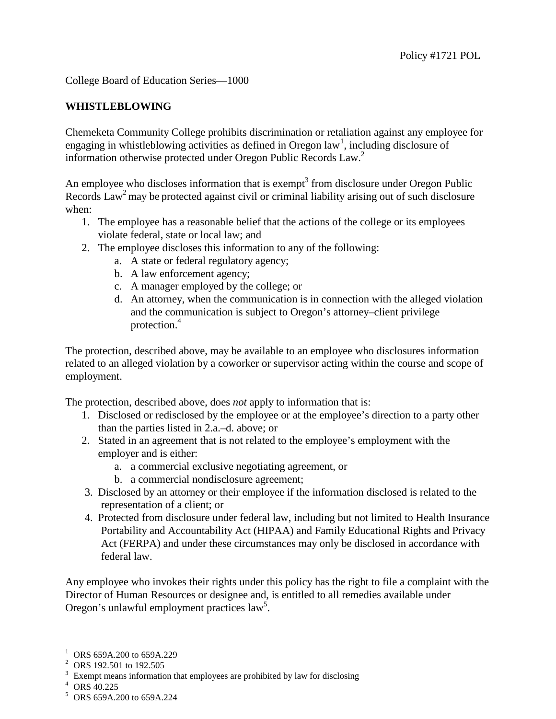College Board of Education Series—1000

## **WHISTLEBLOWING**

Chemeketa Community College prohibits discrimination or retaliation against any employee for engaging in whistleblowing activities as defined in Oregon law<sup>[1](#page-0-0)</sup>, including disclosure of information otherwise protected under Oregon Public Records Law.<sup>2</sup>

An employee who discloses information that is exempt<sup>3</sup> from disclosure under Oregon Public Records Law<sup>2</sup> may be protected against civil or criminal liability arising out of such disclosure when:

- 1. The employee has a reasonable belief that the actions of the college or its employees violate federal, state or local law; and
- 2. The employee discloses this information to any of the following:
	- a. A state or federal regulatory agency;
	- b. A law enforcement agency;
	- c. A manager employed by the college; or
	- d. An attorney, when the communication is in connection with the alleged violation and the communication is subject to Oregon's attorney–client privilege protection.<sup>4</sup>

The protection, described above, may be available to an employee who disclosures information related to an alleged violation by a coworker or supervisor acting within the course and scope of employment.

The protection, described above, does *not* apply to information that is:

- 1. Disclosed or redisclosed by the employee or at the employee's direction to a party other than the parties listed in 2.a.–d. above; or
- 2. Stated in an agreement that is not related to the employee's employment with the employer and is either:
	- a. a commercial exclusive negotiating agreement, or
	- b. a commercial nondisclosure agreement;
- 3. Disclosed by an attorney or their employee if the information disclosed is related to the representation of a client; or
- 4. Protected from disclosure under federal law, including but not limited to Health Insurance Portability and Accountability Act (HIPAA) and Family Educational Rights and Privacy Act (FERPA) and under these circumstances may only be disclosed in accordance with federal law.

Any employee who invokes their rights under this policy has the right to file a complaint with the Director of Human Resources or designee and, is entitled to all remedies available under Oregon's unlawful employment practices law<sup>5</sup>.

<span id="page-0-0"></span><sup>&</sup>lt;sup>1</sup> ORS 659A.200 to 659A.229

<sup>&</sup>lt;sup>2</sup> ORS 192.501 to 192.505<br>
<sup>3</sup> Exempt means information that employees are prohibited by law for disclosing  $4$  ORS 40.225 <br>
<sup>5</sup> ORS 659A.200 to 659A.224